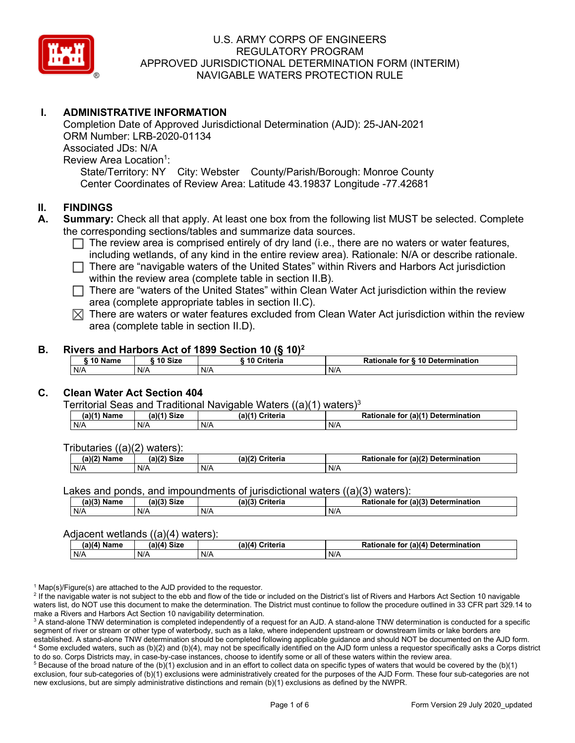

# **I. ADMINISTRATIVE INFORMATION**

Completion Date of Approved Jurisdictional Determination (AJD): 25-JAN-2021 ORM Number: LRB-2020-01134 Associated JDs: N/A Review Area Location<sup>1</sup>: State/Territory: NY City: Webster County/Parish/Borough: Monroe County Center Coordinates of Review Area: Latitude 43.19837 Longitude -77.42681

### **II. FINDINGS**

- **A. Summary:** Check all that apply. At least one box from the following list MUST be selected. Complete the corresponding sections/tables and summarize data sources.
	- $\Box$  The review area is comprised entirely of dry land (i.e., there are no waters or water features, including wetlands, of any kind in the entire review area). Rationale: N/A or describe rationale.
	- There are "navigable waters of the United States" within Rivers and Harbors Act jurisdiction within the review area (complete table in section II.B).
	- $\Box$  There are "waters of the United States" within Clean Water Act jurisdiction within the review area (complete appropriate tables in section II.C).
	- $\boxtimes$  There are waters or water features excluded from Clean Water Act jurisdiction within the review area (complete table in section II.D).

#### **B. Rivers and Harbors Act of 1899 Section 10 (§ 10)2**

| $\frac{1}{2}$ |         |                         |                                  |  |  |  |  |  |
|---------------|---------|-------------------------|----------------------------------|--|--|--|--|--|
| <b>AA 51</b>  | 10 Size | <b>Criteria</b><br>- 10 | Rationale for § 10 Determination |  |  |  |  |  |
| N/A           | N/A     | N/A                     | N/A                              |  |  |  |  |  |

# **C. Clean Water Act Section 404**

Territorial Seas and Traditional Navigable Waters  $((a)(1)$  waters)<sup>3</sup>

| Name | $M41$ Circ | 3143          | for $(a)(1)$  |
|------|------------|---------------|---------------|
| ۱۵ م | ær         | $\sim$ $\sim$ | Determination |
| la I | จเ∠ь       | ;riteria      | Rationale     |
| N/A  | N/A        | N/A           | N/A           |

Tributaries ((a)(2) waters):

| (2)<br>Name | $\sim$ Circ $\sim$<br>$\sim$ $\sim$<br>JIZU<br>υ. | ेriteria<br>$\overline{\phantom{a}}$<br>ເaນເ | (a)(2)<br><b>Determination</b><br>Pationale .<br>tor |
|-------------|---------------------------------------------------|----------------------------------------------|------------------------------------------------------|
| N/A         | N/A                                               | N/A                                          | N/A                                                  |

Lakes and ponds, and impoundments of jurisdictional waters  $((a)(3)$  waters):

| $(a)(3)$ $^{\prime\prime}$<br>Name | $(a)(3)$ Size | (a)(3)<br>Criteria | for (a)(3) Determination<br><b>Rationale</b> |
|------------------------------------|---------------|--------------------|----------------------------------------------|
| N/A<br>N/A                         |               | N/A                | N/A                                          |

#### Adjacent wetlands ((a)(4) waters):

| . .<br>(a)(a)<br>Name | <b>Size</b><br>(a)(4) | (a)(4)<br>Criteria | (a)(4)<br>Determination<br>for<br>nale 1 |  |  |
|-----------------------|-----------------------|--------------------|------------------------------------------|--|--|
| N/A                   | N/A                   | N/A                | N/A                                      |  |  |

<sup>1</sup> Map(s)/Figure(s) are attached to the AJD provided to the requestor.<br><sup>2</sup> If the navigable water is not subject to the ebb and flow of the tide or included on the District's list of Rivers and Harbors Act Section 10 nav waters list, do NOT use this document to make the determination. The District must continue to follow the procedure outlined in 33 CFR part 329.14 to make a Rivers and Harbors Act Section 10 navigability determination.

<sup>3</sup> A stand-alone TNW determination is completed independently of a request for an AJD. A stand-alone TNW determination is conducted for a specific segment of river or stream or other type of waterbody, such as a lake, where independent upstream or downstream limits or lake borders are established. A stand-alone TNW determination should be completed following applicable guidance and should NOT be documented on the AJD form. <sup>4</sup> Some excluded waters, such as (b)(2) and (b)(4), may not be specifically identified on the AJD form unless a requestor specifically asks a Corps district to do so. Corps Districts may, in case-by-case instances, choose to identify some or all of these waters within the review area.

 $5$  Because of the broad nature of the (b)(1) exclusion and in an effort to collect data on specific types of waters that would be covered by the (b)(1) exclusion, four sub-categories of (b)(1) exclusions were administratively created for the purposes of the AJD Form. These four sub-categories are not new exclusions, but are simply administrative distinctions and remain (b)(1) exclusions as defined by the NWPR.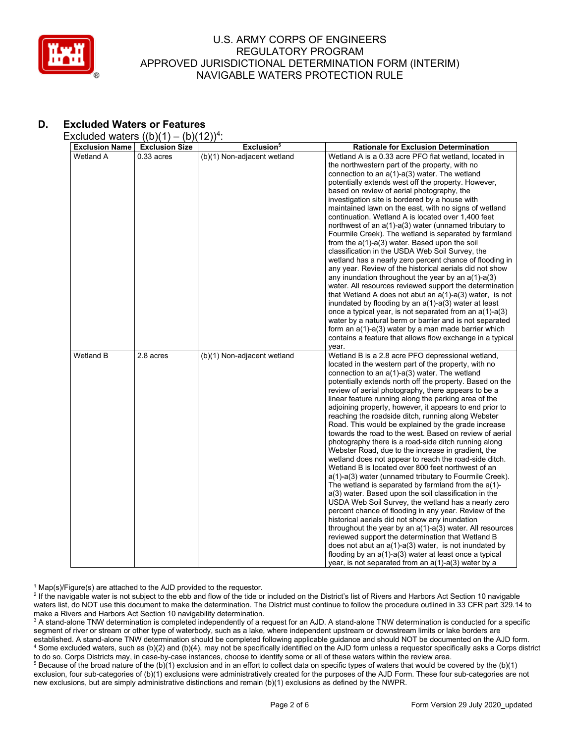

# **D. Excluded Waters or Features**

Excluded waters  $((b)(1) - (b)(12))^4$ :

| <b>Exclusion Name</b> | <b>Exclusion Size</b> | Exclusion <sup>5</sup>      | <b>Rationale for Exclusion Determination</b>                   |
|-----------------------|-----------------------|-----------------------------|----------------------------------------------------------------|
| Wetland A             | $0.33$ acres          | (b)(1) Non-adjacent wetland | Wetland A is a 0.33 acre PFO flat wetland, located in          |
|                       |                       |                             | the northwestern part of the property, with no                 |
|                       |                       |                             | connection to an a(1)-a(3) water. The wetland                  |
|                       |                       |                             | potentially extends west off the property. However,            |
|                       |                       |                             | based on review of aerial photography, the                     |
|                       |                       |                             | investigation site is bordered by a house with                 |
|                       |                       |                             | maintained lawn on the east, with no signs of wetland          |
|                       |                       |                             | continuation. Wetland A is located over 1,400 feet             |
|                       |                       |                             | northwest of an a(1)-a(3) water (unnamed tributary to          |
|                       |                       |                             | Fourmile Creek). The wetland is separated by farmland          |
|                       |                       |                             | from the $a(1)$ - $a(3)$ water. Based upon the soil            |
|                       |                       |                             | classification in the USDA Web Soil Survey, the                |
|                       |                       |                             | wetland has a nearly zero percent chance of flooding in        |
|                       |                       |                             | any year. Review of the historical aerials did not show        |
|                       |                       |                             | any inundation throughout the year by an a(1)-a(3)             |
|                       |                       |                             | water. All resources reviewed support the determination        |
|                       |                       |                             | that Wetland A does not abut an $a(1)$ - $a(3)$ water, is not  |
|                       |                       |                             | inundated by flooding by an $a(1)$ - $a(3)$ water at least     |
|                       |                       |                             | once a typical year, is not separated from an a(1)-a(3)        |
|                       |                       |                             | water by a natural berm or barrier and is not separated        |
|                       |                       |                             | form an a(1)-a(3) water by a man made barrier which            |
|                       |                       |                             | contains a feature that allows flow exchange in a typical      |
|                       |                       |                             | year.                                                          |
| Wetland B             | 2.8 acres             | (b)(1) Non-adjacent wetland | Wetland B is a 2.8 acre PFO depressional wetland,              |
|                       |                       |                             | located in the western part of the property, with no           |
|                       |                       |                             | connection to an $a(1)$ - $a(3)$ water. The wetland            |
|                       |                       |                             | potentially extends north off the property. Based on the       |
|                       |                       |                             | review of aerial photography, there appears to be a            |
|                       |                       |                             | linear feature running along the parking area of the           |
|                       |                       |                             | adjoining property, however, it appears to end prior to        |
|                       |                       |                             | reaching the roadside ditch, running along Webster             |
|                       |                       |                             | Road. This would be explained by the grade increase            |
|                       |                       |                             | towards the road to the west. Based on review of aerial        |
|                       |                       |                             | photography there is a road-side ditch running along           |
|                       |                       |                             | Webster Road, due to the increase in gradient, the             |
|                       |                       |                             | wetland does not appear to reach the road-side ditch.          |
|                       |                       |                             | Wetland B is located over 800 feet northwest of an             |
|                       |                       |                             | a(1)-a(3) water (unnamed tributary to Fourmile Creek).         |
|                       |                       |                             | The wetland is separated by farmland from the a(1)-            |
|                       |                       |                             | a(3) water. Based upon the soil classification in the          |
|                       |                       |                             | USDA Web Soil Survey, the wetland has a nearly zero            |
|                       |                       |                             | percent chance of flooding in any year. Review of the          |
|                       |                       |                             | historical aerials did not show any inundation                 |
|                       |                       |                             | throughout the year by an $a(1)$ - $a(3)$ water. All resources |
|                       |                       |                             | reviewed support the determination that Wetland B              |
|                       |                       |                             | does not abut an $a(1)-a(3)$ water, is not inundated by        |
|                       |                       |                             | flooding by an $a(1)-a(3)$ water at least once a typical       |
|                       |                       |                             | year, is not separated from an $a(1)$ -a(3) water by a         |

<sup>1</sup> Map(s)/Figure(s) are attached to the AJD provided to the requestor.<br><sup>2</sup> If the navigable water is not subject to the ebb and flow of the tide or included on the District's list of Rivers and Harbors Act Section 10 nav waters list, do NOT use this document to make the determination. The District must continue to follow the procedure outlined in 33 CFR part 329.14 to make a Rivers and Harbors Act Section 10 navigability determination.

<sup>3</sup> A stand-alone TNW determination is completed independently of a request for an AJD. A stand-alone TNW determination is conducted for a specific segment of river or stream or other type of waterbody, such as a lake, where independent upstream or downstream limits or lake borders are established. A stand-alone TNW determination should be completed following applicable guidance and should NOT be documented on the AJD form. <sup>4</sup> Some excluded waters, such as (b)(2) and (b)(4), may not be specifically identified on the AJD form unless a requestor specifically asks a Corps district to do so. Corps Districts may, in case-by-case instances, choose to identify some or all of these waters within the review area.

<sup>5</sup> Because of the broad nature of the (b)(1) exclusion and in an effort to collect data on specific types of waters that would be covered by the (b)(1) exclusion, four sub-categories of (b)(1) exclusions were administratively created for the purposes of the AJD Form. These four sub-categories are not new exclusions, but are simply administrative distinctions and remain (b)(1) exclusions as defined by the NWPR.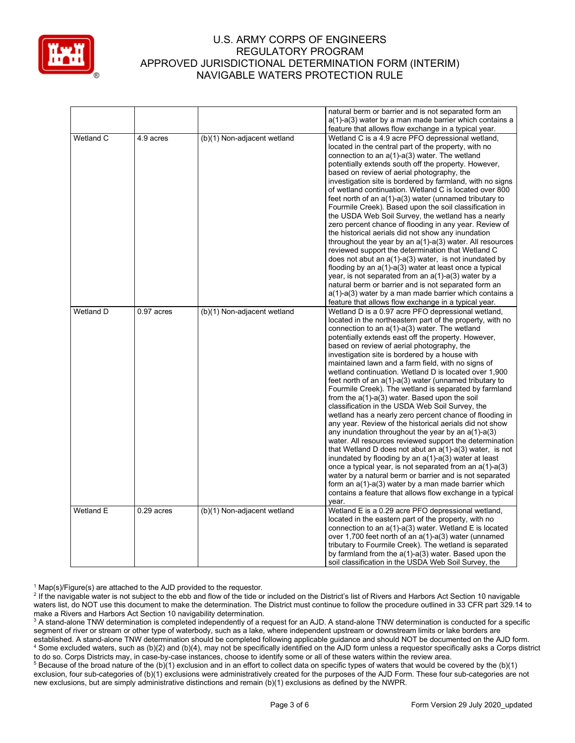

|           |              |                             | natural berm or barrier and is not separated form an           |
|-----------|--------------|-----------------------------|----------------------------------------------------------------|
|           |              |                             | $a(1)$ -a(3) water by a man made barrier which contains a      |
|           |              |                             | feature that allows flow exchange in a typical year.           |
| Wetland C | 4.9 acres    | (b)(1) Non-adjacent wetland | Wetland C is a 4.9 acre PFO depressional wetland,              |
|           |              |                             | located in the central part of the property, with no           |
|           |              |                             | connection to an $a(1)$ - $a(3)$ water. The wetland            |
|           |              |                             | potentially extends south off the property. However,           |
|           |              |                             | based on review of aerial photography, the                     |
|           |              |                             | investigation site is bordered by farmland, with no signs      |
|           |              |                             | of wetland continuation. Wetland C is located over 800         |
|           |              |                             | feet north of an $a(1)$ - $a(3)$ water (unnamed tributary to   |
|           |              |                             | Fourmile Creek). Based upon the soil classification in         |
|           |              |                             | the USDA Web Soil Survey, the wetland has a nearly             |
|           |              |                             | zero percent chance of flooding in any year. Review of         |
|           |              |                             | the historical aerials did not show any inundation             |
|           |              |                             | throughout the year by an $a(1)$ - $a(3)$ water. All resources |
|           |              |                             | reviewed support the determination that Wetland C              |
|           |              |                             | does not abut an $a(1)$ - $a(3)$ water, is not inundated by    |
|           |              |                             | flooding by an $a(1)$ - $a(3)$ water at least once a typical   |
|           |              |                             | year, is not separated from an $a(1)$ -a(3) water by a         |
|           |              |                             | natural berm or barrier and is not separated form an           |
|           |              |                             | $a(1)$ -a(3) water by a man made barrier which contains a      |
|           |              |                             | feature that allows flow exchange in a typical year.           |
| Wetland D | 0.97 acres   | (b)(1) Non-adjacent wetland | Wetland D is a 0.97 acre PFO depressional wetland,             |
|           |              |                             | located in the northeastern part of the property, with no      |
|           |              |                             | connection to an $a(1)$ - $a(3)$ water. The wetland            |
|           |              |                             | potentially extends east off the property. However,            |
|           |              |                             | based on review of aerial photography, the                     |
|           |              |                             | investigation site is bordered by a house with                 |
|           |              |                             | maintained lawn and a farm field, with no signs of             |
|           |              |                             | wetland continuation. Wetland D is located over 1,900          |
|           |              |                             | feet north of an $a(1)$ - $a(3)$ water (unnamed tributary to   |
|           |              |                             | Fourmile Creek). The wetland is separated by farmland          |
|           |              |                             | from the $a(1)$ - $a(3)$ water. Based upon the soil            |
|           |              |                             | classification in the USDA Web Soil Survey, the                |
|           |              |                             | wetland has a nearly zero percent chance of flooding in        |
|           |              |                             | any year. Review of the historical aerials did not show        |
|           |              |                             | any inundation throughout the year by an $a(1)-a(3)$           |
|           |              |                             | water. All resources reviewed support the determination        |
|           |              |                             | that Wetland D does not abut an $a(1)$ -a(3) water, is not     |
|           |              |                             | inundated by flooding by an $a(1)$ -a(3) water at least        |
|           |              |                             | once a typical year, is not separated from an a(1)-a(3)        |
|           |              |                             | water by a natural berm or barrier and is not separated        |
|           |              |                             | form an $a(1)$ - $a(3)$ water by a man made barrier which      |
|           |              |                             | contains a feature that allows flow exchange in a typical      |
|           |              |                             | year.                                                          |
| Wetland E | $0.29$ acres | (b)(1) Non-adjacent wetland | Wetland E is a 0.29 acre PFO depressional wetland,             |
|           |              |                             | located in the eastern part of the property, with no           |
|           |              |                             | connection to an $a(1)$ - $a(3)$ water. Wetland E is located   |
|           |              |                             | over 1,700 feet north of an $a(1)$ - $a(3)$ water (unnamed     |
|           |              |                             | tributary to Fourmile Creek). The wetland is separated         |
|           |              |                             | by farmland from the $a(1)$ - $a(3)$ water. Based upon the     |
|           |              |                             | soil classification in the USDA Web Soil Survey, the           |

<sup>1</sup> Map(s)/Figure(s) are attached to the AJD provided to the requestor.<br><sup>2</sup> If the navigable water is not subject to the ebb and flow of the tide or included on the District's list of Rivers and Harbors Act Section 10 nav waters list, do NOT use this document to make the determination. The District must continue to follow the procedure outlined in 33 CFR part 329.14 to make a Rivers and Harbors Act Section 10 navigability determination.

<sup>3</sup> A stand-alone TNW determination is completed independently of a request for an AJD. A stand-alone TNW determination is conducted for a specific segment of river or stream or other type of waterbody, such as a lake, where independent upstream or downstream limits or lake borders are established. A stand-alone TNW determination should be completed following applicable guidance and should NOT be documented on the AJD form. <sup>4</sup> Some excluded waters, such as (b)(2) and (b)(4), may not be specifically identified on the AJD form unless a requestor specifically asks a Corps district to do so. Corps Districts may, in case-by-case instances, choose to identify some or all of these waters within the review area.

<sup>5</sup> Because of the broad nature of the (b)(1) exclusion and in an effort to collect data on specific types of waters that would be covered by the (b)(1) exclusion, four sub-categories of (b)(1) exclusions were administratively created for the purposes of the AJD Form. These four sub-categories are not new exclusions, but are simply administrative distinctions and remain (b)(1) exclusions as defined by the NWPR.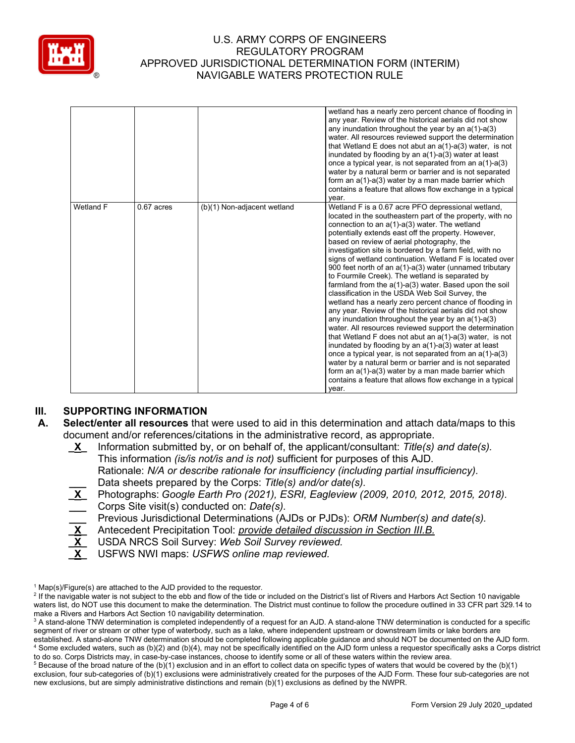

|           |              |                             | wetland has a nearly zero percent chance of flooding in<br>any year. Review of the historical aerials did not show<br>any inundation throughout the year by an $a(1)$ -a(3)<br>water. All resources reviewed support the determination<br>that Wetland E does not abut an $a(1)$ - $a(3)$ water, is not<br>inundated by flooding by an $a(1)$ - $a(3)$ water at least<br>once a typical year, is not separated from an $a(1)$ - $a(3)$<br>water by a natural berm or barrier and is not separated<br>form an a(1)-a(3) water by a man made barrier which<br>contains a feature that allows flow exchange in a typical                                                                                                                                                                                                                                                                                                                                                                                                                                                                                                                                                                                                                                                  |
|-----------|--------------|-----------------------------|------------------------------------------------------------------------------------------------------------------------------------------------------------------------------------------------------------------------------------------------------------------------------------------------------------------------------------------------------------------------------------------------------------------------------------------------------------------------------------------------------------------------------------------------------------------------------------------------------------------------------------------------------------------------------------------------------------------------------------------------------------------------------------------------------------------------------------------------------------------------------------------------------------------------------------------------------------------------------------------------------------------------------------------------------------------------------------------------------------------------------------------------------------------------------------------------------------------------------------------------------------------------|
| Wetland F | $0.67$ acres | (b)(1) Non-adjacent wetland | year.<br>Wetland F is a 0.67 acre PFO depressional wetland,<br>located in the southeastern part of the property, with no<br>connection to an $a(1)$ - $a(3)$ water. The wetland<br>potentially extends east off the property. However,<br>based on review of aerial photography, the<br>investigation site is bordered by a farm field, with no<br>signs of wetland continuation. Wetland F is located over<br>900 feet north of an a(1)-a(3) water (unnamed tributary<br>to Fourmile Creek). The wetland is separated by<br>farmland from the $a(1)-a(3)$ water. Based upon the soil<br>classification in the USDA Web Soil Survey, the<br>wetland has a nearly zero percent chance of flooding in<br>any year. Review of the historical aerials did not show<br>any inundation throughout the year by an $a(1)$ -a(3)<br>water. All resources reviewed support the determination<br>that Wetland F does not abut an $a(1)$ -a(3) water, is not<br>inundated by flooding by an $a(1)$ -a(3) water at least<br>once a typical year, is not separated from an $a(1)-a(3)$<br>water by a natural berm or barrier and is not separated<br>form an $a(1)$ - $a(3)$ water by a man made barrier which<br>contains a feature that allows flow exchange in a typical<br>year. |

# **III. SUPPORTING INFORMATION**

- **A. Select/enter all resources** that were used to aid in this determination and attach data/maps to this document and/or references/citations in the administrative record, as appropriate.
	- **\_X\_** Information submitted by, or on behalf of, the applicant/consultant: *Title(s) and date(s).* This information *(is/is not/is and is not)* sufficient for purposes of this AJD. Rationale: *N/A or describe rationale for insufficiency (including partial insufficiency).* **\_\_\_** Data sheets prepared by the Corps: *Title(s) and/or date(s).*
	- **\_X\_** Photographs: *Google Earth Pro (2021), ESRI, Eagleview (2009, 2010, 2012, 2015, 2018).* **\_\_\_** Corps Site visit(s) conducted on: *Date(s).*
		- **\_\_\_** Previous Jurisdictional Determinations (AJDs or PJDs): *ORM Number(s) and date(s).*
	- **\_X\_** Antecedent Precipitation Tool: *provide detailed discussion in Section III.B.*
	- **\_X\_** USDA NRCS Soil Survey: *Web Soil Survey reviewed.*
	- **\_X\_** USFWS NWI maps: *USFWS online map reviewed.*

<sup>&</sup>lt;sup>1</sup> Map(s)/Figure(s) are attached to the AJD provided to the requestor.<br><sup>2</sup> If the navigable water is not subject to the ebb and flow of the tide or included on the District's list of Rivers and Harbors Act Section 10 nav waters list, do NOT use this document to make the determination. The District must continue to follow the procedure outlined in 33 CFR part 329.14 to make a Rivers and Harbors Act Section 10 navigability determination.

<sup>&</sup>lt;sup>3</sup> A stand-alone TNW determination is completed independently of a request for an AJD. A stand-alone TNW determination is conducted for a specific segment of river or stream or other type of waterbody, such as a lake, where independent upstream or downstream limits or lake borders are established. A stand-alone TNW determination should be completed following applicable guidance and should NOT be documented on the AJD form. <sup>4</sup> Some excluded waters, such as (b)(2) and (b)(4), may not be specifically identified on the AJD form unless a requestor specifically asks a Corps district

to do so. Corps Districts may, in case-by-case instances, choose to identify some or all of these waters within the review area.  $5$  Because of the broad nature of the (b)(1) exclusion and in an effort to collect data on specific types of waters that would be covered by the (b)(1) exclusion, four sub-categories of (b)(1) exclusions were administratively created for the purposes of the AJD Form. These four sub-categories are not new exclusions, but are simply administrative distinctions and remain (b)(1) exclusions as defined by the NWPR.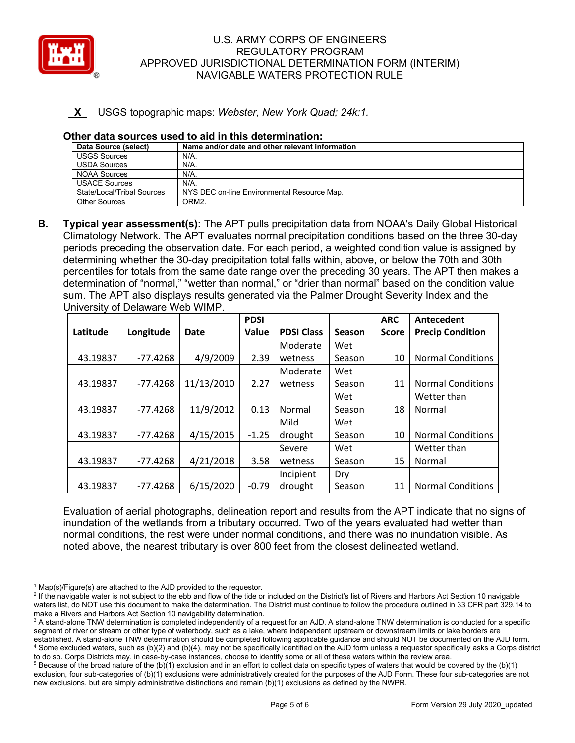

# **\_X\_** USGS topographic maps: *Webster, New York Quad; 24k:1.*

#### **Other data sources used to aid in this determination:**

| Data Source (select)       | Name and/or date and other relevant information |
|----------------------------|-------------------------------------------------|
| <b>USGS Sources</b>        | N/A.                                            |
| <b>USDA Sources</b>        | N/A.                                            |
| <b>NOAA Sources</b>        | $N/A$ .                                         |
| <b>USACE Sources</b>       | N/A.                                            |
| State/Local/Tribal Sources | NYS DEC on-line Environmental Resource Map.     |
| Other Sources              | ORM <sub>2</sub>                                |

**B. Typical year assessment(s):** The APT pulls precipitation data from NOAA's Daily Global Historical Climatology Network. The APT evaluates normal precipitation conditions based on the three 30-day periods preceding the observation date. For each period, a weighted condition value is assigned by determining whether the 30-day precipitation total falls within, above, or below the 70th and 30th percentiles for totals from the same date range over the preceding 30 years. The APT then makes a determination of "normal," "wetter than normal," or "drier than normal" based on the condition value sum. The APT also displays results generated via the Palmer Drought Severity Index and the University of Delaware Web WIMP.

|          |            |            | <b>PDSI</b> |                   |        | <b>ARC</b>   | Antecedent               |
|----------|------------|------------|-------------|-------------------|--------|--------------|--------------------------|
| Latitude | Longitude  | Date       | Value       | <b>PDSI Class</b> | Season | <b>Score</b> | <b>Precip Condition</b>  |
|          |            |            |             | Moderate          | Wet    |              |                          |
| 43.19837 | -77.4268   | 4/9/2009   | 2.39        | wetness           | Season | 10           | <b>Normal Conditions</b> |
|          |            |            |             | Moderate          | Wet    |              |                          |
| 43.19837 | $-77.4268$ | 11/13/2010 | 2.27        | wetness           | Season | 11           | <b>Normal Conditions</b> |
|          |            |            |             |                   | Wet    |              | Wetter than              |
| 43.19837 | -77.4268   | 11/9/2012  | 0.13        | Normal            | Season | 18           | Normal                   |
|          |            |            |             | Mild              | Wet    |              |                          |
| 43.19837 | $-77.4268$ | 4/15/2015  | $-1.25$     | drought           | Season | 10           | <b>Normal Conditions</b> |
|          |            |            |             | Severe            | Wet    |              | Wetter than              |
| 43.19837 | $-77.4268$ | 4/21/2018  | 3.58        | wetness           | Season | 15           | Normal                   |
|          |            |            |             | Incipient         | Dry    |              |                          |
| 43.19837 | $-77.4268$ | 6/15/2020  | $-0.79$     | drought           | Season | 11           | <b>Normal Conditions</b> |

Evaluation of aerial photographs, delineation report and results from the APT indicate that no signs of inundation of the wetlands from a tributary occurred. Two of the years evaluated had wetter than normal conditions, the rest were under normal conditions, and there was no inundation visible. As noted above, the nearest tributary is over 800 feet from the closest delineated wetland.

<sup>&</sup>lt;sup>1</sup> Map(s)/Figure(s) are attached to the AJD provided to the requestor.<br><sup>2</sup> If the navigable water is not subject to the ebb and flow of the tide or included on the District's list of Rivers and Harbors Act Section 10 nav waters list, do NOT use this document to make the determination. The District must continue to follow the procedure outlined in 33 CFR part 329.14 to make a Rivers and Harbors Act Section 10 navigability determination.

<sup>&</sup>lt;sup>3</sup> A stand-alone TNW determination is completed independently of a request for an AJD. A stand-alone TNW determination is conducted for a specific segment of river or stream or other type of waterbody, such as a lake, where independent upstream or downstream limits or lake borders are established. A stand-alone TNW determination should be completed following applicable guidance and should NOT be documented on the AJD form. <sup>4</sup> Some excluded waters, such as (b)(2) and (b)(4), may not be specifically identified on the AJD form unless a requestor specifically asks a Corps district to do so. Corps Districts may, in case-by-case instances, choose to identify some or all of these waters within the review area.

 $5$  Because of the broad nature of the (b)(1) exclusion and in an effort to collect data on specific types of waters that would be covered by the (b)(1) exclusion, four sub-categories of (b)(1) exclusions were administratively created for the purposes of the AJD Form. These four sub-categories are not new exclusions, but are simply administrative distinctions and remain (b)(1) exclusions as defined by the NWPR.